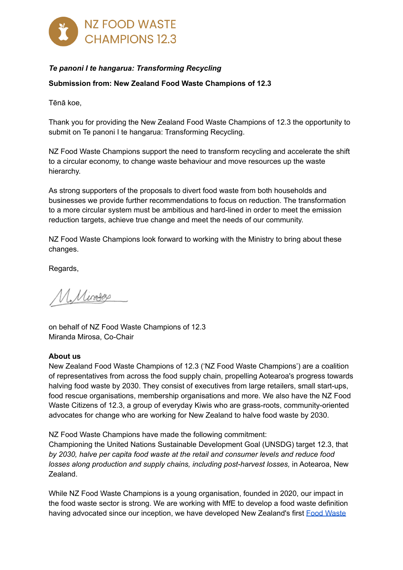

# *Te panoni I te hangarua: Transforming Recycling*

### **Submission from: New Zealand Food Waste Champions of 12.3**

Tēnā koe,

Thank you for providing the New Zealand Food Waste Champions of 12.3 the opportunity to submit on Te panoni I te hangarua: Transforming Recycling.

NZ Food Waste Champions support the need to transform recycling and accelerate the shift to a circular economy, to change waste behaviour and move resources up the waste hierarchy.

As strong supporters of the proposals to divert food waste from both households and businesses we provide further recommendations to focus on reduction. The transformation to a more circular system must be ambitious and hard-lined in order to meet the emission reduction targets, achieve true change and meet the needs of our community.

NZ Food Waste Champions look forward to working with the Ministry to bring about these changes.

Regards,

M. Minagas

on behalf of NZ Food Waste Champions of 12.3 Miranda Mirosa, Co-Chair

#### **About us**

New Zealand Food Waste Champions of 12.3 ('NZ Food Waste Champions') are a coalition of representatives from across the food supply chain, propelling Aotearoa's progress towards halving food waste by 2030. They consist of executives from large retailers, small start-ups, food rescue organisations, membership organisations and more. We also have the NZ Food Waste Citizens of 12.3, a group of everyday Kiwis who are grass-roots, community-oriented advocates for change who are working for New Zealand to halve food waste by 2030.

NZ Food Waste Champions have made the following commitment:

Championing the United Nations Sustainable Development Goal (UNSDG) target 12.3, that *by 2030, halve per capita food waste at the retail and consumer levels and reduce food losses along production and supply chains, including post-harvest losses,* in Aotearoa, New Zealand.

While NZ Food Waste Champions is a young organisation, founded in 2020, our impact in the food waste sector is strong. We are working with MfE to develop a food waste definition having advocated since our inception, we have developed New Zealand's first Food [Waste](https://db921ae9-f665-4304-bd92-a1f22232c2e0.filesusr.com/ugd/d3213e_27d9d3db02fb4dec9e6844673b3d1624.pdf)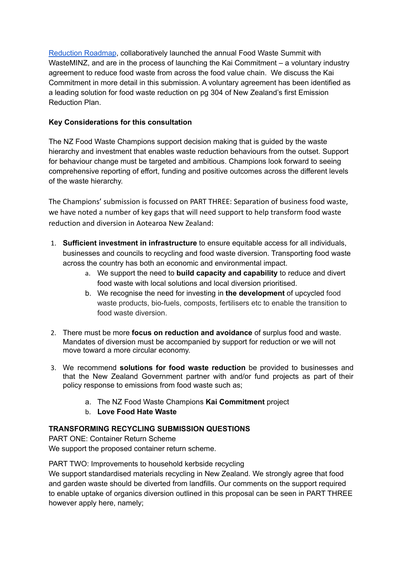[Reduction](https://db921ae9-f665-4304-bd92-a1f22232c2e0.filesusr.com/ugd/d3213e_27d9d3db02fb4dec9e6844673b3d1624.pdf) Roadmap, collaboratively launched the annual Food Waste Summit with WasteMINZ, and are in the process of launching the Kai Commitment – a voluntary industry agreement to reduce food waste from across the food value chain. We discuss the Kai Commitment in more detail in this submission. A voluntary agreement has been identified as a leading solution for food waste reduction on pg 304 of New Zealand's first Emission Reduction Plan.

### **Key Considerations for this consultation**

The NZ Food Waste Champions support decision making that is guided by the waste hierarchy and investment that enables waste reduction behaviours from the outset. Support for behaviour change must be targeted and ambitious. Champions look forward to seeing comprehensive reporting of effort, funding and positive outcomes across the different levels of the waste hierarchy.

The Champions' submission is focussed on PART THREE: Separation of business food waste, we have noted a number of key gaps that will need support to help transform food waste reduction and diversion in Aotearoa New Zealand:

- 1. **Sufficient investment in infrastructure** to ensure equitable access for all individuals, businesses and councils to recycling and food waste diversion. Transporting food waste across the country has both an economic and environmental impact.
	- a. We support the need to **build capacity and capability** to reduce and divert food waste with local solutions and local diversion prioritised.
	- b. We recognise the need for investing in **the development** of upcycled food waste products, bio-fuels, composts, fertilisers etc to enable the transition to food waste diversion.
- 2. There must be more **focus on reduction and avoidance** of surplus food and waste. Mandates of diversion must be accompanied by support for reduction or we will not move toward a more circular economy.
- 3. We recommend **solutions for food waste reduction** be provided to businesses and that the New Zealand Government partner with and/or fund projects as part of their policy response to emissions from food waste such as;
	- a. The NZ Food Waste Champions **Kai Commitment** project
	- b. **Love Food Hate Waste**

# **TRANSFORMING RECYCLING SUBMISSION QUESTIONS**

PART ONE: Container Return Scheme We support the proposed container return scheme.

PART TWO: Improvements to household kerbside recycling

We support standardised materials recycling in New Zealand. We strongly agree that food and garden waste should be diverted from landfills. Our comments on the support required to enable uptake of organics diversion outlined in this proposal can be seen in PART THREE however apply here, namely;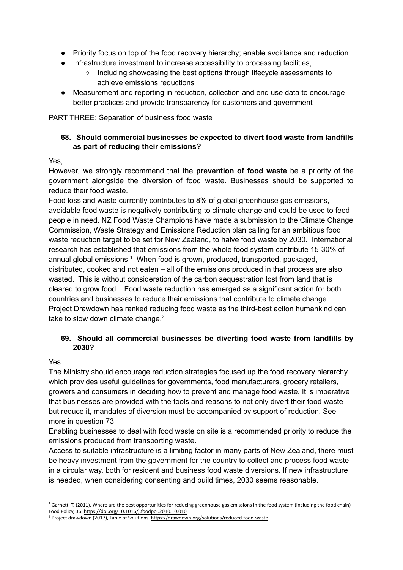- Priority focus on top of the food recovery hierarchy; enable avoidance and reduction
- Infrastructure investment to increase accessibility to processing facilities,
	- Including showcasing the best options through lifecycle assessments to achieve emissions reductions
- Measurement and reporting in reduction, collection and end use data to encourage better practices and provide transparency for customers and government

PART THREE: Separation of business food waste

### **68. Should commercial businesses be expected to divert food waste from landfills as part of reducing their emissions?**

### Yes,

However, we strongly recommend that the **prevention of food waste** be a priority of the government alongside the diversion of food waste. Businesses should be supported to reduce their food waste.

Food loss and waste currently contributes to 8% of global greenhouse gas emissions, avoidable food waste is negatively contributing to climate change and could be used to feed people in need. NZ Food Waste Champions have made a submission to the Climate Change Commission, Waste Strategy and Emissions Reduction plan calling for an ambitious food waste reduction target to be set for New Zealand, to halve food waste by 2030. International research has established that emissions from the whole food system contribute 15-30% of annual global emissions. <sup>1</sup> When food is grown, produced, transported, packaged, distributed, cooked and not eaten – all of the emissions produced in that process are also wasted. This is without consideration of the carbon sequestration lost from land that is cleared to grow food. Food waste reduction has emerged as a significant action for both countries and businesses to reduce their emissions that contribute to climate change. Project [Drawdown](https://drawdown.org/solutions/reduced-food-waste) has ranked reducing food waste as the third-best action humankind can take to slow down climate change.<sup>2</sup>

### **69. Should all commercial businesses be diverting food waste from landfills by 2030?**

Yes.

The Ministry should encourage reduction strategies focused up the food recovery hierarchy which provides useful guidelines for governments, food manufacturers, grocery retailers, growers and consumers in deciding how to prevent and manage food waste. It is imperative that businesses are provided with the tools and reasons to not only divert their food waste but reduce it, mandates of diversion must be accompanied by support of reduction. See more in question 73.

Enabling businesses to deal with food waste on site is a recommended priority to reduce the emissions produced from transporting waste.

Access to suitable infrastructure is a limiting factor in many parts of New Zealand, there must be heavy investment from the government for the country to collect and process food waste in a circular way, both for resident and business food waste diversions. If new infrastructure is needed, when considering consenting and build times, 2030 seems reasonable.

 $1$  Garnett, T. (2011). Where are the best opportunities for reducing greenhouse gas emissions in the food system (including the food chain) Food Policy, 36. <https://doi.org/10.1016/j.foodpol.2010.10.010>

<sup>&</sup>lt;sup>2</sup> Project drawdown (2017), Table of Solutions. <https://drawdown.org/solutions/reduced-food-waste>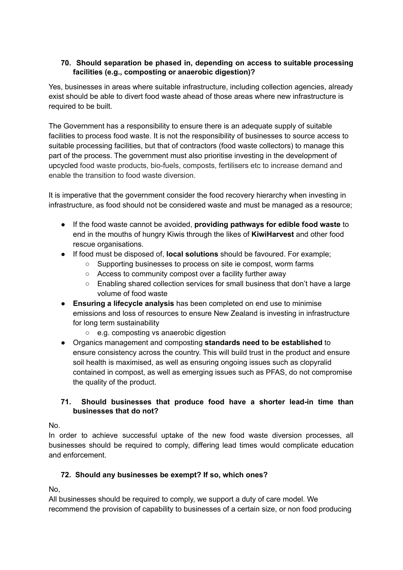### **70. Should separation be phased in, depending on access to suitable processing facilities (e.g., composting or anaerobic digestion)?**

Yes, businesses in areas where suitable infrastructure, including collection agencies, already exist should be able to divert food waste ahead of those areas where new infrastructure is required to be built.

The Government has a responsibility to ensure there is an adequate supply of suitable facilities to process food waste. It is not the responsibility of businesses to source access to suitable processing facilities, but that of contractors (food waste collectors) to manage this part of the process. The government must also prioritise investing in the development of upcycled food waste products, bio-fuels, composts, fertilisers etc to increase demand and enable the transition to food waste diversion.

It is imperative that the government consider the food recovery hierarchy when investing in infrastructure, as food should not be considered waste and must be managed as a resource;

- If the food waste cannot be avoided, **providing pathways for edible food waste** to end in the mouths of hungry Kiwis through the likes of **KiwiHarvest** and other food rescue organisations.
- If food must be disposed of, **local solutions** should be favoured. For example;
	- Supporting businesses to process on site ie compost, worm farms
	- Access to community compost over a facility further away
	- Enabling shared collection services for small business that don't have a large volume of food waste
- **Ensuring a lifecycle analysis** has been completed on end use to minimise emissions and loss of resources to ensure New Zealand is investing in infrastructure for long term sustainability
	- e.g. composting vs anaerobic digestion
- Organics management and composting **standards need to be established** to ensure consistency across the country. This will build trust in the product and ensure soil health is maximised, as well as ensuring ongoing issues such as clopyralid contained in compost, as well as emerging issues such as PFAS, do not compromise the quality of the product.

## **71. Should businesses that produce food have a shorter lead-in time than businesses that do not?**

No.

In order to achieve successful uptake of the new food waste diversion processes, all businesses should be required to comply, differing lead times would complicate education and enforcement.

# **72. Should any businesses be exempt? If so, which ones?**

No,

All businesses should be required to comply, we support a duty of care model. We recommend the provision of capability to businesses of a certain size, or non food producing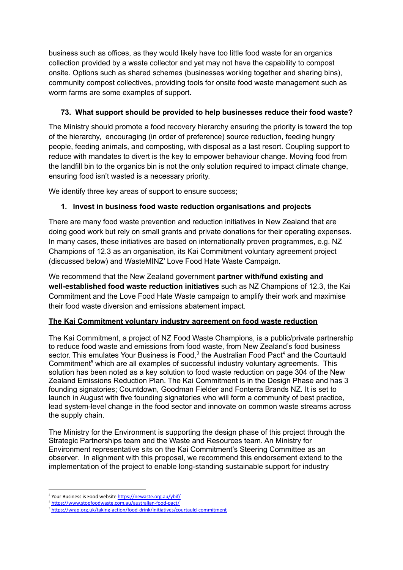business such as offices, as they would likely have too little food waste for an organics collection provided by a waste collector and yet may not have the capability to compost onsite. Options such as shared schemes (businesses working together and sharing bins), community compost collectives, providing tools for onsite food waste management such as worm farms are some examples of support.

# **73. What support should be provided to help businesses reduce their food waste?**

The Ministry should promote a food recovery hierarchy ensuring the priority is toward the top of the hierarchy, encouraging (in order of preference) source reduction, feeding hungry people, feeding animals, and composting, with disposal as a last resort. Coupling support to reduce with mandates to divert is the key to empower behaviour change. Moving food from the landfill bin to the organics bin is not the only solution required to impact climate change, ensuring food isn't wasted is a necessary priority.

We identify three key areas of support to ensure success;

## **1. Invest in business food waste reduction organisations and projects**

There are many food waste prevention and reduction initiatives in New Zealand that are doing good work but rely on small grants and private donations for their operating expenses. In many cases, these initiatives are based on internationally proven programmes, e.g. NZ Champions of 12.3 as an organisation, its Kai Commitment voluntary agreement project (discussed below) and WasteMINZ' Love Food Hate Waste Campaign.

We recommend that the New Zealand government **partner with/fund existing and well-established food waste reduction initiatives** such as NZ Champions of 12.3, the Kai Commitment and the Love Food Hate Waste campaign to amplify their work and maximise their food waste diversion and emissions abatement impact.

### **The Kai Commitment voluntary industry agreement on food waste reduction**

The Kai Commitment, a project of NZ Food Waste Champions, is a public/private partnership to reduce food waste and emissions from food waste, from New Zealand's food business sector. This emulates Your Business is Food,<sup>3</sup> the Australian Food Pact<sup>4</sup> and the Courtauld Commitment <sup>5</sup> which are all examples of successful industry voluntary agreements. This solution has been noted as a key solution to food waste reduction on page 304 of the New Zealand Emissions Reduction Plan. The Kai Commitment is in the Design Phase and has 3 founding signatories; Countdown, Goodman Fielder and Fonterra Brands NZ. It is set to launch in August with five founding signatories who will form a community of best practice, lead system-level change in the food sector and innovate on common waste streams across the supply chain.

The Ministry for the Environment is supporting the design phase of this project through the Strategic Partnerships team and the Waste and Resources team. An Ministry for Environment representative sits on the Kai Commitment's Steering Committee as an observer. In alignment with this proposal, we recommend this endorsement extend to the implementation of the project to enable long-standing sustainable support for industry

<sup>&</sup>lt;sup>3</sup> Your Business is Food website <https://newaste.org.au/ybif/>

<sup>4</sup> <https://www.stopfoodwaste.com.au/australian-food-pact/>

<sup>&</sup>lt;sup>5</sup> <https://wrap.org.uk/taking-action/food-drink/initiatives/courtauld-commitment>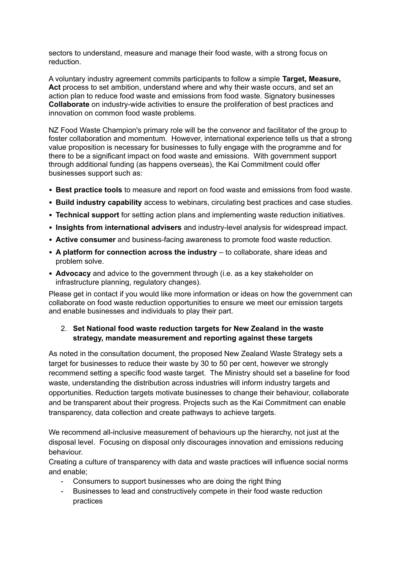sectors to understand, measure and manage their food waste, with a strong focus on reduction.

A voluntary industry agreement commits participants to follow a simple **Target, Measure, Act** process to set ambition, understand where and why their waste occurs, and set an action plan to reduce food waste and emissions from food waste. Signatory businesses **Collaborate** on industry-wide activities to ensure the proliferation of best practices and innovation on common food waste problems.

NZ Food Waste Champion's primary role will be the convenor and facilitator of the group to foster collaboration and momentum. However, international experience tells us that a strong value proposition is necessary for businesses to fully engage with the programme and for there to be a significant impact on food waste and emissions. With government support through additional funding (as happens overseas), the Kai Commitment could offer businesses support such as:

- **Best practice tools** to measure and report on food waste and emissions from food waste.
- **Build industry capability** access to webinars, circulating best practices and case studies.
- **Technical support** for setting action plans and implementing waste reduction initiatives.
- **Insights from international advisers** and industry-level analysis for widespread impact.
- **Active consumer** and business-facing awareness to promote food waste reduction.
- **A platform for connection across the industry** to collaborate, share ideas and problem solve.
- **Advocacy** and advice to the government through (i.e. as a key stakeholder on infrastructure planning, regulatory changes).

Please get in contact if you would like more information or ideas on how the government can collaborate on food waste reduction opportunities to ensure we meet our emission targets and enable businesses and individuals to play their part.

#### 2. **Set National food waste reduction targets for New Zealand in the waste strategy, mandate measurement and reporting against these targets**

As noted in the consultation document, the proposed New Zealand Waste Strategy sets a target for businesses to reduce their waste by 30 to 50 per cent, however we strongly recommend setting a specific food waste target. The Ministry should set a baseline for food waste, understanding the distribution across industries will inform industry targets and opportunities. Reduction targets motivate businesses to change their behaviour, collaborate and be transparent about their progress. Projects such as the Kai Commitment can enable transparency, data collection and create pathways to achieve targets.

We recommend all-inclusive measurement of behaviours up the hierarchy, not just at the disposal level. Focusing on disposal only discourages innovation and emissions reducing behaviour.

Creating a culture of transparency with data and waste practices will influence social norms and enable;

- Consumers to support businesses who are doing the right thing
- Businesses to lead and constructively compete in their food waste reduction practices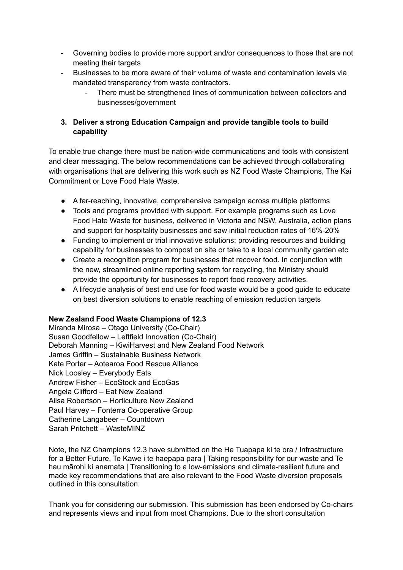- Governing bodies to provide more support and/or consequences to those that are not meeting their targets
- Businesses to be more aware of their volume of waste and contamination levels via mandated transparency from waste contractors.
	- There must be strengthened lines of communication between collectors and businesses/government

## **3. Deliver a strong Education Campaign and provide tangible tools to build capability**

To enable true change there must be nation-wide communications and tools with consistent and clear messaging. The below recommendations can be achieved through collaborating with organisations that are delivering this work such as NZ Food Waste Champions, The Kai Commitment or Love Food Hate Waste.

- A far-reaching, innovative, comprehensive campaign across multiple platforms
- Tools and programs provided with support. For example programs such as Love Food Hate Waste for business, delivered in Victoria and NSW, Australia, action plans and support for hospitality businesses and saw initial reduction rates of 16%-20%
- Funding to implement or trial innovative solutions; providing resources and building capability for businesses to compost on site or take to a local community garden etc
- Create a recognition program for businesses that recover food. In conjunction with the new, streamlined online reporting system for recycling, the Ministry should provide the opportunity for businesses to report food recovery activities.
- A lifecycle analysis of best end use for food waste would be a good guide to educate on best diversion solutions to enable reaching of emission reduction targets

### **New Zealand Food Waste Champions of 12.3**

Miranda Mirosa – Otago University (Co-Chair) Susan Goodfellow – Leftfield Innovation (Co-Chair) Deborah Manning – KiwiHarvest and New Zealand Food Network James Griffin – Sustainable Business Network Kate Porter – Aotearoa Food Rescue Alliance Nick Loosley – Everybody Eats Andrew Fisher – EcoStock and EcoGas Angela Clifford – Eat New Zealand Ailsa Robertson – Horticulture New Zealand Paul Harvey – Fonterra Co-operative Group Catherine Langabeer – Countdown Sarah Pritchett – WasteMINZ

Note, the NZ Champions 12.3 have submitted on the He Tuapapa ki te ora / Infrastructure for a Better Future, Te Kawe i te haepapa para | Taking responsibility for our waste and Te hau mārohi ki anamata | Transitioning to a low-emissions and climate-resilient future and made key recommendations that are also relevant to the Food Waste diversion proposals outlined in this consultation.

Thank you for considering our submission. This submission has been endorsed by Co-chairs and represents views and input from most Champions. Due to the short consultation